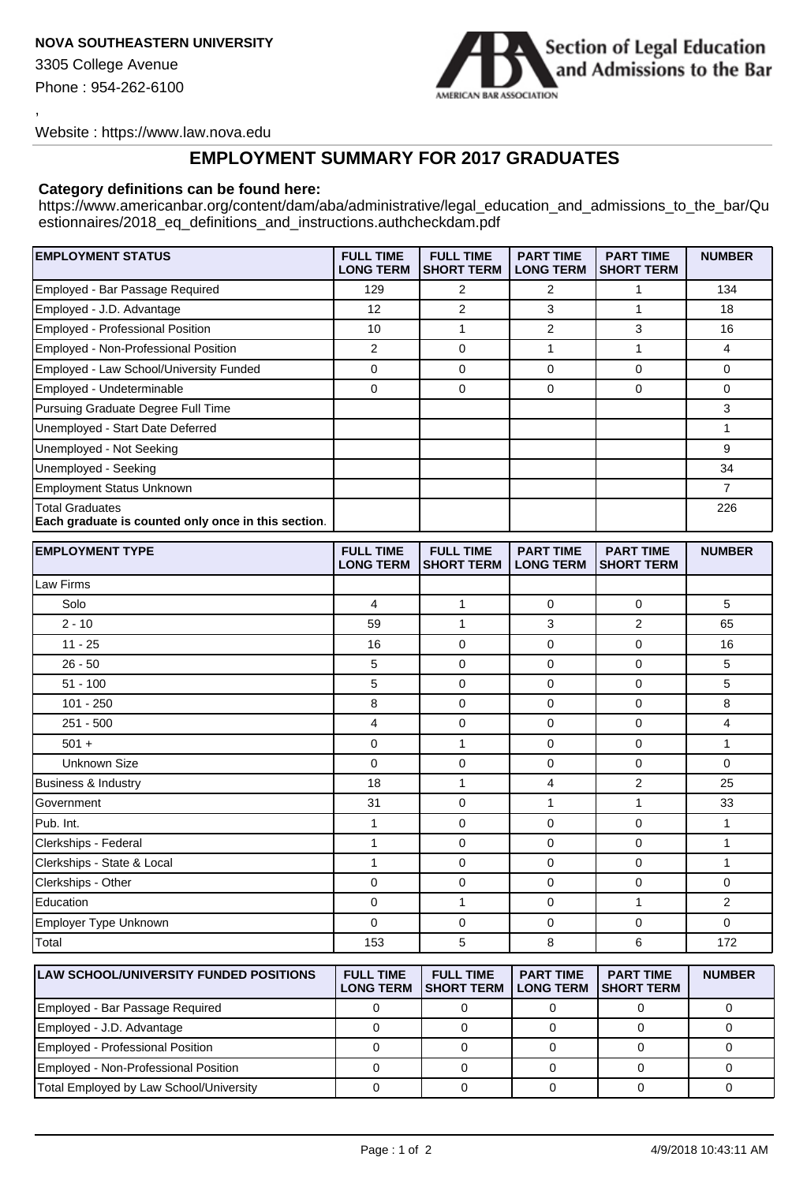## **NOVA SOUTHEASTERN UNIVERSITY**

3305 College Avenue

Phone : 954-262-6100

,



Website : https://www.law.nova.edu

## **EMPLOYMENT SUMMARY FOR 2017 GRADUATES**

## **Category definitions can be found here:**

[https://www.americanbar.org/content/dam/aba/administrative/legal\\_education\\_and\\_admissions\\_to\\_the\\_bar/Qu](https://www.americanbar.org/content/dam/aba/administrative/legal_education_and_admissions_to_the_bar/Questionnaires/2018_eq_definitions_and_instructions.authcheckdam.pdf) estionnaires/2018\_eq\_definitions\_and\_instructions.authcheckdam.pdf

| <b>EMPLOYMENT STATUS</b>                                                      | <b>FULL TIME</b><br><b>LONG TERM</b> | <b>FULL TIME</b><br><b>SHORT TERM</b> | <b>PART TIME</b><br><b>LONG TERM</b> | <b>PART TIME</b><br><b>SHORT TERM</b> | <b>NUMBER</b> |
|-------------------------------------------------------------------------------|--------------------------------------|---------------------------------------|--------------------------------------|---------------------------------------|---------------|
| Employed - Bar Passage Required                                               | 129                                  | 2                                     | 2                                    |                                       | 134           |
| Employed - J.D. Advantage                                                     | 12                                   | $\overline{2}$                        | 3                                    |                                       | 18            |
| <b>Employed - Professional Position</b>                                       | 10                                   |                                       | 2                                    | 3                                     | 16            |
| Employed - Non-Professional Position                                          | 2                                    | 0                                     |                                      |                                       | 4             |
| Employed - Law School/University Funded                                       | 0                                    | 0                                     | $\Omega$                             | 0                                     | 0             |
| Employed - Undeterminable                                                     | 0                                    | 0                                     | 0                                    | 0                                     | 0             |
| Pursuing Graduate Degree Full Time                                            |                                      |                                       |                                      |                                       | 3             |
| Unemployed - Start Date Deferred                                              |                                      |                                       |                                      |                                       |               |
| Unemployed - Not Seeking                                                      |                                      |                                       |                                      |                                       | 9             |
| Unemployed - Seeking                                                          |                                      |                                       |                                      |                                       | 34            |
| <b>Employment Status Unknown</b>                                              |                                      |                                       |                                      |                                       |               |
| <b>Total Graduates</b><br>Each graduate is counted only once in this section. |                                      |                                       |                                      |                                       | 226           |

| <b>EMPLOYMENT TYPE</b>            | <b>FULL TIME</b><br><b>LONG TERM</b> | <b>FULL TIME</b><br><b>SHORT TERM</b> | <b>PART TIME</b><br><b>LONG TERM</b> | <b>PART TIME</b><br><b>SHORT TERM</b> | <b>NUMBER</b>  |
|-----------------------------------|--------------------------------------|---------------------------------------|--------------------------------------|---------------------------------------|----------------|
| Law Firms                         |                                      |                                       |                                      |                                       |                |
| Solo                              | $\overline{4}$                       | 1                                     | $\Omega$                             | $\Omega$                              | 5              |
| $2 - 10$                          | 59                                   | 1                                     | 3                                    | 2                                     | 65             |
| $11 - 25$                         | 16                                   | $\mathbf 0$                           | $\mathbf 0$                          | $\mathbf 0$                           | 16             |
| $26 - 50$                         | 5                                    | $\mathbf 0$                           | $\mathbf 0$                          | $\mathbf 0$                           | 5              |
| $51 - 100$                        | 5                                    | $\mathbf 0$                           | $\mathbf 0$                          | $\mathbf 0$                           | 5              |
| $101 - 250$                       | 8                                    | $\mathbf 0$                           | $\mathbf 0$                          | $\mathbf 0$                           | 8              |
| $251 - 500$                       | 4                                    | $\mathbf 0$                           | $\mathbf 0$                          | $\mathbf 0$                           | 4              |
| $501 +$                           | $\mathbf 0$                          | $\mathbf{1}$                          | $\mathbf 0$                          | 0                                     | 1              |
| Unknown Size                      | $\Omega$                             | $\mathbf 0$                           | $\mathbf 0$                          | $\Omega$                              | $\Omega$       |
| <b>Business &amp; Industry</b>    | 18                                   | $\mathbf{1}$                          | $\overline{4}$                       | 2                                     | 25             |
| Government                        | 31                                   | $\mathbf 0$                           | 1                                    | $\mathbf{1}$                          | 33             |
| Pub. Int.                         | 1                                    | $\mathbf 0$                           | $\mathbf 0$                          | 0                                     | 1              |
| Clerkships - Federal              | $\mathbf{1}$                         | $\mathbf 0$                           | $\mathbf 0$                          | $\mathbf 0$                           | 1              |
| Clerkships - State & Local        | 1                                    | $\mathbf 0$                           | $\mathbf 0$                          | $\mathbf 0$                           | $\mathbf{1}$   |
| Clerkships - Other                | 0                                    | $\mathbf 0$                           | $\mathbf 0$                          | $\mathbf 0$                           | $\mathbf 0$    |
| Education                         | $\mathbf 0$                          | $\mathbf{1}$                          | 0                                    | $\mathbf{1}$                          | $\overline{2}$ |
| Employer Type Unknown             | $\mathbf 0$                          | $\mathbf 0$                           | $\mathbf 0$                          | $\mathbf 0$                           | $\mathbf 0$    |
| Total<br>$\overline{\phantom{a}}$ | 153                                  | 5                                     | 8                                    | 6                                     | 172            |

| <b>ILAW SCHOOL/UNIVERSITY FUNDED POSITIONS</b> | <b>FULL TIME</b><br><b>LONG TERM</b> | <b>FULL TIME</b><br><b>ISHORT TERM</b> | <b>PART TIME</b><br><b>LONG TERM</b> | <b>PART TIME</b><br><b>ISHORT TERM</b> | <b>NUMBER</b> |
|------------------------------------------------|--------------------------------------|----------------------------------------|--------------------------------------|----------------------------------------|---------------|
| Employed - Bar Passage Required                |                                      |                                        |                                      |                                        |               |
| Employed - J.D. Advantage                      |                                      |                                        |                                      |                                        |               |
| Employed - Professional Position               |                                      |                                        |                                      |                                        |               |
| Employed - Non-Professional Position           |                                      |                                        |                                      |                                        |               |
| Total Employed by Law School/University        |                                      |                                        |                                      |                                        |               |